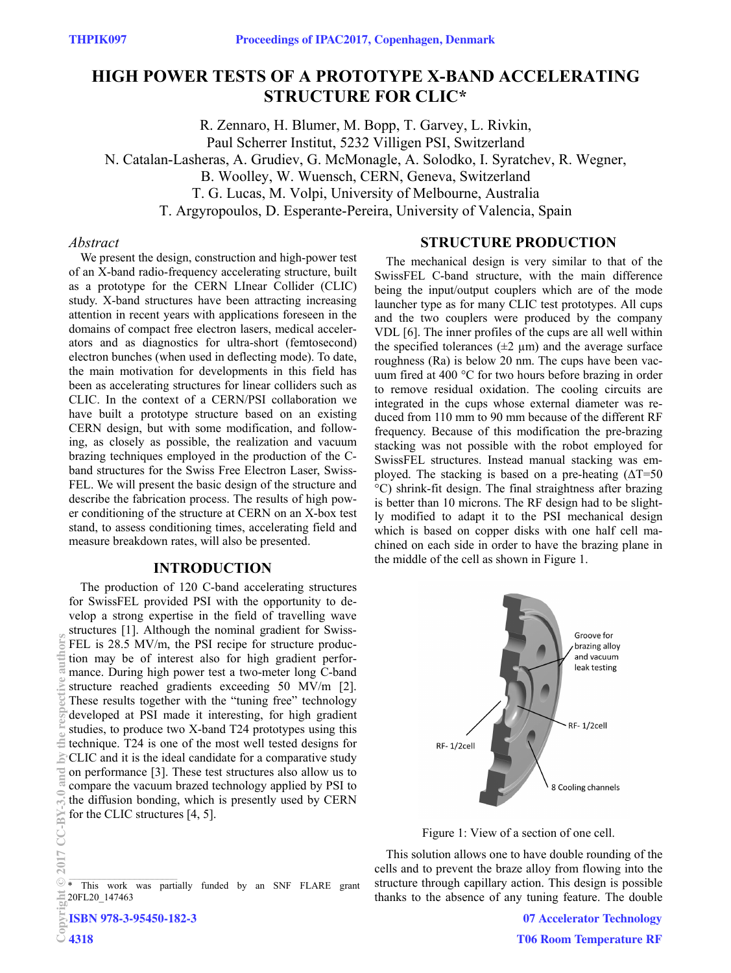# **HIGH POWER TESTS OF A PROTOTYPE X-BAND ACCELERATING STRUCTURE FOR CLIC\***

R. Zennaro, H. Blumer, M. Bopp, T. Garvey, L. Rivkin, Paul Scherrer Institut, 5232 Villigen PSI, Switzerland N. Catalan-Lasheras, A. Grudiev, G. McMonagle, A. Solodko, I. Syratchev, R. Wegner, B. Woolley, W. Wuensch, CERN, Geneva, Switzerland T. G. Lucas, M. Volpi, University of Melbourne, Australia T. Argyropoulos, D. Esperante-Pereira, University of Valencia, Spain

#### *Abstract*

We present the design, construction and high-power test of an X-band radio-frequency accelerating structure, built as a prototype for the CERN LInear Collider (CLIC) study. X-band structures have been attracting increasing attention in recent years with applications foreseen in the domains of compact free electron lasers, medical accelerators and as diagnostics for ultra-short (femtosecond) electron bunches (when used in deflecting mode). To date, the main motivation for developments in this field has been as accelerating structures for linear colliders such as CLIC. In the context of a CERN/PSI collaboration we have built a prototype structure based on an existing CERN design, but with some modification, and following, as closely as possible, the realization and vacuum brazing techniques employed in the production of the Cband structures for the Swiss Free Electron Laser, Swiss-FEL. We will present the basic design of the structure and describe the fabrication process. The results of high power conditioning of the structure at CERN on an X-box test stand, to assess conditioning times, accelerating field and measure breakdown rates, will also be presented.

#### **INTRODUCTION**

The production of 120 C-band accelerating structures for SwissFEL provided PSI with the opportunity to develop a strong expertise in the field of travelling wave structures [1]. Although the nominal gradient for Swiss-FEL is 28.5 MV/m, the PSI recipe for structure production may be of interest also for high gradient performance. During high power test a two-meter long C-band structure reached gradients exceeding 50 MV/m [2]. These results together with the "tuning free" technology developed at PSI made it interesting, for high gradient studies, to produce two X-band T24 prototypes using this technique. T24 is one of the most well tested designs for CLIC and it is the ideal candidate for a comparative study on performance [3]. These test structures also allow us to compare the vacuum brazed technology applied by PSI to the diffusion bonding, which is presently used by CERN for the CLIC structures [4, 5].

#### **STRUCTURE PRODUCTION**

The mechanical design is very similar to that of the SwissFEL C-band structure, with the main difference being the input/output couplers which are of the mode launcher type as for many CLIC test prototypes. All cups and the two couplers were produced by the company VDL [6]. The inner profiles of the cups are all well within the specified tolerances  $(\pm 2 \mu m)$  and the average surface roughness (Ra) is below 20 nm. The cups have been vacuum fired at 400 °C for two hours before brazing in order to remove residual oxidation. The cooling circuits are integrated in the cups whose external diameter was reduced from 110 mm to 90 mm because of the different RF frequency. Because of this modification the pre-brazing stacking was not possible with the robot employed for SwissFEL structures. Instead manual stacking was employed. The stacking is based on a pre-heating  $(\Delta T = 50$ °C) shrink-fit design. The final straightness after brazing is better than 10 microns. The RF design had to be slightly modified to adapt it to the PSI mechanical design which is based on copper disks with one half cell machined on each side in order to have the brazing plane in the middle of the cell as shown in Figure 1.





This solution allows one to have double rounding of the cells and to prevent the braze alloy from flowing into the structure through capillary action. This design is possible thanks to the absence of any tuning feature. The double

> **07 Accelerator Technology T06 Room Temperature RF**

uthors

<sup>\*</sup> This work was partially funded by an SNF FLARE grant 20FL20\_147463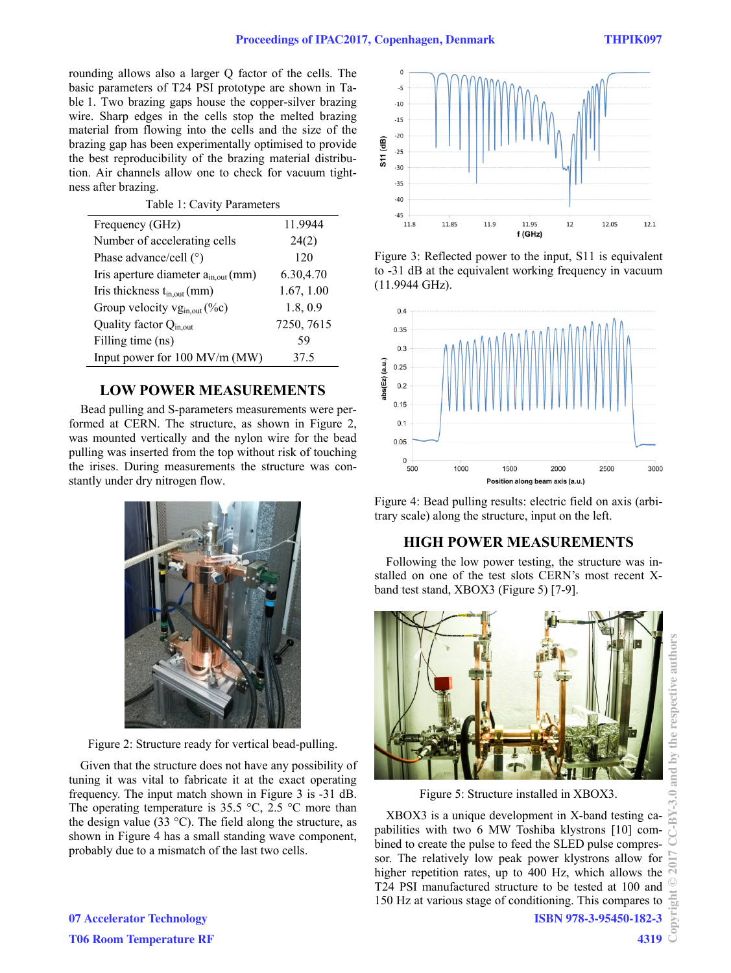rounding allows also a larger Q factor of the cells. The basic parameters of T24 PSI prototype are shown in Table 1. Two brazing gaps house the copper-silver brazing wire. Sharp edges in the cells stop the melted brazing material from flowing into the cells and the size of the brazing gap has been experimentally optimised to provide the best reproducibility of the brazing material distribution. Air channels allow one to check for vacuum tightness after brazing.

Table 1: Cavity Parameters

| Frequency (GHz)                          | 11.9944    |
|------------------------------------------|------------|
| Number of accelerating cells             | 24(2)      |
| Phase advance/cell $(°)$                 | 120        |
| Iris aperture diameter $a_{in,out}(mm)$  | 6.30,4.70  |
| Iris thickness $t_{in,out}(mm)$          | 1.67, 1.00 |
| Group velocity vg <sub>in,out</sub> (%c) | 1.8, 0.9   |
| Quality factor Q <sub>in.out</sub>       | 7250, 7615 |
| Filling time (ns)                        | 59         |
| Input power for 100 MV/m (MW)            | 37.5       |

### **LOW POWER MEASUREMENTS**

Bead pulling and S-parameters measurements were performed at CERN. The structure, as shown in Figure 2, was mounted vertically and the nylon wire for the bead pulling was inserted from the top without risk of touching the irises. During measurements the structure was constantly under dry nitrogen flow.



Figure 2: Structure ready for vertical bead-pulling.

Given that the structure does not have any possibility of tuning it was vital to fabricate it at the exact operating frequency. The input match shown in Figure 3 is -31 dB. The operating temperature is 35.5  $\degree$ C, 2.5  $\degree$ C more than the design value (33  $^{\circ}$ C). The field along the structure, as shown in Figure 4 has a small standing wave component, probably due to a mismatch of the last two cells.



Figure 3: Reflected power to the input, S11 is equivalent to -31 dB at the equivalent working frequency in vacuum (11.9944 GHz).



Figure 4: Bead pulling results: electric field on axis (arbitrary scale) along the structure, input on the left.

# **HIGH POWER MEASUREMENTS**

Following the low power testing, the structure was installed on one of the test slots CERN's most recent Xband test stand, XBOX3 (Figure 5) [7-9].



XBOX3 is a unique development in X-band testing capabilities with two 6 MW Toshiba klystrons [10] combined to create the pulse to feed the SLED pulse compressor. The relatively low peak power klystrons allow for higher repetition rates, up to 400 Hz, which allows the T24 PSI manufactured structure to be tested at 100 and 150 Hz at various stage of conditioning. This compares to